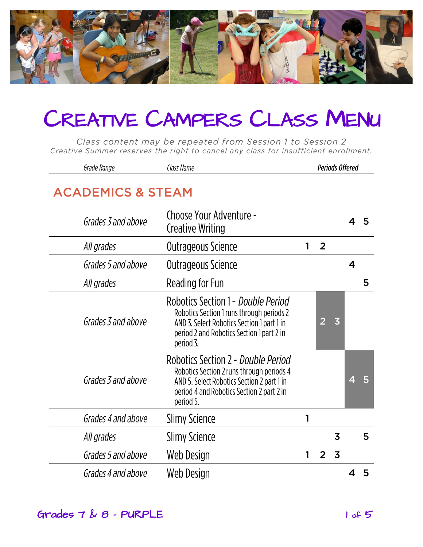

Class content may be repeated from Session 1 to Session 2 Creative Summer reserves the right to cancel any class for insufficient enrollment.

| Grade Range                  | Class Name                                                                                                                                                                              |   |                | <b>Periods Offered</b>  |   |   |
|------------------------------|-----------------------------------------------------------------------------------------------------------------------------------------------------------------------------------------|---|----------------|-------------------------|---|---|
| <b>ACADEMICS &amp; STEAM</b> |                                                                                                                                                                                         |   |                |                         |   |   |
| Grades 3 and above           | Choose Your Adventure -<br><b>Creative Writing</b>                                                                                                                                      |   |                |                         | 4 | 5 |
| All grades                   | Outrageous Science                                                                                                                                                                      | 1 | $\overline{2}$ |                         |   |   |
| Grades 5 and above           | Outrageous Science                                                                                                                                                                      |   |                |                         | 4 |   |
| All grades                   | Reading for Fun                                                                                                                                                                         |   |                |                         |   | 5 |
| Grades 3 and above           | Robotics Section 1 - Double Period<br>Robotics Section 1 runs through periods 2<br>AND 3. Select Robotics Section 1 part 1 in<br>period 2 and Robotics Section 1 part 2 in<br>period 3. |   | 2              | $\overline{\mathbf{3}}$ |   |   |
| Grades 3 and above           | Robotics Section 2 - Double Period<br>Robotics Section 2 runs through periods 4<br>AND 5. Select Robotics Section 2 part 1 in<br>period 4 and Robotics Section 2 part 2 in<br>period 5. |   |                |                         | 4 |   |
| Grades 4 and above           | <b>Slimy Science</b>                                                                                                                                                                    | 1 |                |                         |   |   |
| All grades                   | <b>Slimy Science</b>                                                                                                                                                                    |   |                | 3                       |   | 5 |
| Grades 5 and above           | Web Design                                                                                                                                                                              | 1 | $\overline{2}$ | $\overline{3}$          |   |   |
| Grades 4 and above           | Web Design                                                                                                                                                                              |   |                |                         |   | 5 |

#### Grades  $7 \& 8$  - PURPLE 1 of 5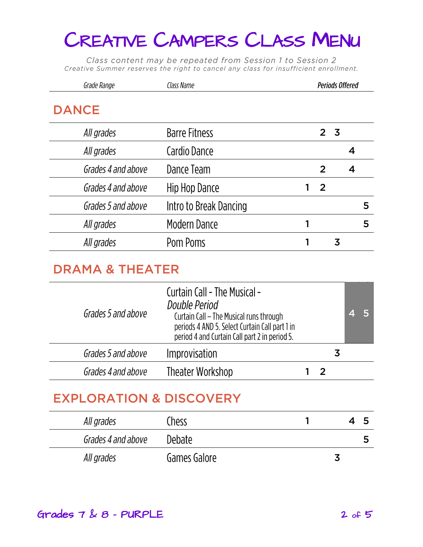Class content may be repeated from Session 1 to Session 2 Creative Summer reserves the right to cancel any class for insufficient enrollment.

|              | Grade Range        | Class Name             |   |                | <b>Periods Offered</b> |   |   |
|--------------|--------------------|------------------------|---|----------------|------------------------|---|---|
| <b>DANCE</b> |                    |                        |   |                |                        |   |   |
|              | All grades         | <b>Barre Fitness</b>   |   |                | 2 <sub>3</sub>         |   |   |
|              | All grades         | Cardio Dance           |   |                |                        | 4 |   |
|              | Grades 4 and above | Dance Team             |   | 2              |                        | 4 |   |
|              | Grades 4 and above | Hip Hop Dance          | 1 | $\overline{2}$ |                        |   |   |
|              | Grades 5 and above | Intro to Break Dancing |   |                |                        |   | 5 |
|              | All grades         | <b>Modern Dance</b>    |   |                |                        |   | 5 |
|              | All grades         | Pom Poms               |   |                | 3                      |   |   |
|              |                    |                        |   |                |                        |   |   |

### **DRAMA & THEATER**

| Grades 5 and above | <b>Curtain Call - The Musical -</b><br>Double Period<br>Curtain Call - The Musical runs through<br>periods 4 AND 5. Select Curtain Call part 1 in<br>period 4 and Curtain Call part 2 in period 5. |  |    |  |
|--------------------|----------------------------------------------------------------------------------------------------------------------------------------------------------------------------------------------------|--|----|--|
| Grades 5 and above | Improvisation                                                                                                                                                                                      |  | .S |  |
| Grades 4 and above | Theater Workshop                                                                                                                                                                                   |  |    |  |
|                    |                                                                                                                                                                                                    |  |    |  |

| All grades         | Chess        |  |   |
|--------------------|--------------|--|---|
| Grades 4 and above | Debate       |  | כ |
| All grades         | Games Galore |  |   |

#### Grades  $7 \& 8$  - PURPLE 2 of 5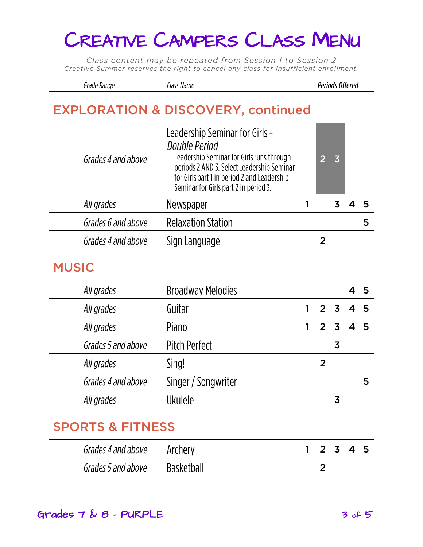Class content may be repeated from Session 1 to Session 2 Creative Summer reserves the right to cancel any class for insufficient enrollment.

#### Grade Range Class Name

**Periods Offered** 

### **EXPLORATION & DISCOVERY, continued**

| Grades 4 and above | Leadership Seminar for Girls -<br>Double Period<br>Leadership Seminar for Girls runs through<br>periods 2 AND 3. Select Leadership Seminar<br>for Girls part 1 in period 2 and Leadership<br>Seminar for Girls part 2 in period 3. |  | $\overline{3}$ |  |
|--------------------|------------------------------------------------------------------------------------------------------------------------------------------------------------------------------------------------------------------------------------|--|----------------|--|
| All grades         | Newspaper                                                                                                                                                                                                                          |  |                |  |
| Grades 6 and above | <b>Relaxation Station</b>                                                                                                                                                                                                          |  |                |  |
| Grades 4 and above | Sign Language                                                                                                                                                                                                                      |  |                |  |
|                    |                                                                                                                                                                                                                                    |  |                |  |

#### **MUSIC**

| All grades         | <b>Broadway Melodies</b> |                |         | $\overline{4}$ | - 5 |
|--------------------|--------------------------|----------------|---------|----------------|-----|
| All grades         | Guitar                   |                | 2 3 4 5 |                |     |
| All grades         | Piano                    | 2 <sub>3</sub> |         |                |     |
| Grades 5 and above | Pitch Perfect            |                | 3       |                |     |
| All grades         | Sing!                    | 2              |         |                |     |
| Grades 4 and above | Singer / Songwriter      |                |         |                | 5   |
| All grades         | <b>Ukulele</b>           |                | 3       |                |     |
|                    |                          |                |         |                |     |

#### **SPORTS & FITNESS**

| Grades 4 and above Archery |            | 1 2 3 4 5 |  |  |
|----------------------------|------------|-----------|--|--|
| Grades 5 and above         | Basketball |           |  |  |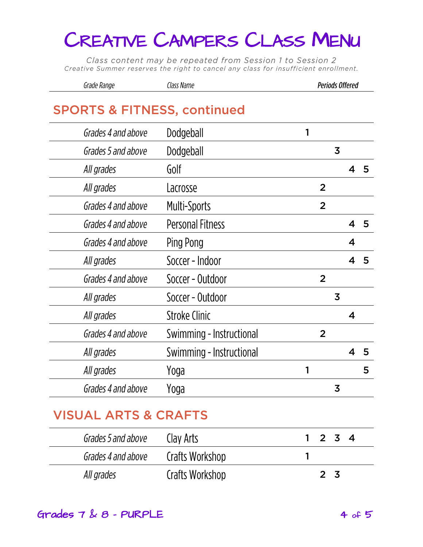Class content may be repeated from Session 1 to Session 2 Creative Summer reserves the right to cancel any class for insufficient enrollment.

| Grade Range | Class Name | <b>Periods Offered</b> |
|-------------|------------|------------------------|
|-------------|------------|------------------------|

#### **SPORTS & FITNESS, continued**

| Grades 4 and above | Dodgeball                |   |                |                         |   |   |
|--------------------|--------------------------|---|----------------|-------------------------|---|---|
| Grades 5 and above | Dodgeball                |   |                | $\overline{\mathbf{3}}$ |   |   |
| All grades         | Golf                     |   |                |                         | 4 | 5 |
| All grades         | Lacrosse                 |   | $\overline{2}$ |                         |   |   |
| Grades 4 and above | <b>Multi-Sports</b>      |   | $\overline{2}$ |                         |   |   |
| Grades 4 and above | <b>Personal Fitness</b>  |   |                |                         | 4 | 5 |
| Grades 4 and above | Ping Pong                |   |                |                         | 4 |   |
| All grades         | Soccer - Indoor          |   |                |                         | 4 | 5 |
| Grades 4 and above | Soccer - Outdoor         |   | $\overline{2}$ |                         |   |   |
| All grades         | Soccer - Outdoor         |   |                | $\overline{3}$          |   |   |
| All grades         | Stroke Clinic            |   |                |                         | 4 |   |
| Grades 4 and above | Swimming - Instructional |   | $\overline{2}$ |                         |   |   |
| All grades         | Swimming - Instructional |   |                |                         | 4 | 5 |
| All grades         | Yoga                     | 1 |                |                         |   | 5 |
| Grades 4 and above | Yoga                     |   |                | 3                       |   |   |
|                    |                          |   |                |                         |   |   |

# **VISUAL ARTS & CRAFT**

| Grades 5 and above | Clav Arts       | $1 \t2 \t3 \t4$ |
|--------------------|-----------------|-----------------|
| Grades 4 and above | Crafts Workshop |                 |
| All grades         | Crafts Workshop | 2 3             |

#### Grades  $7 \& 8$  - PURPLE 4 of 5